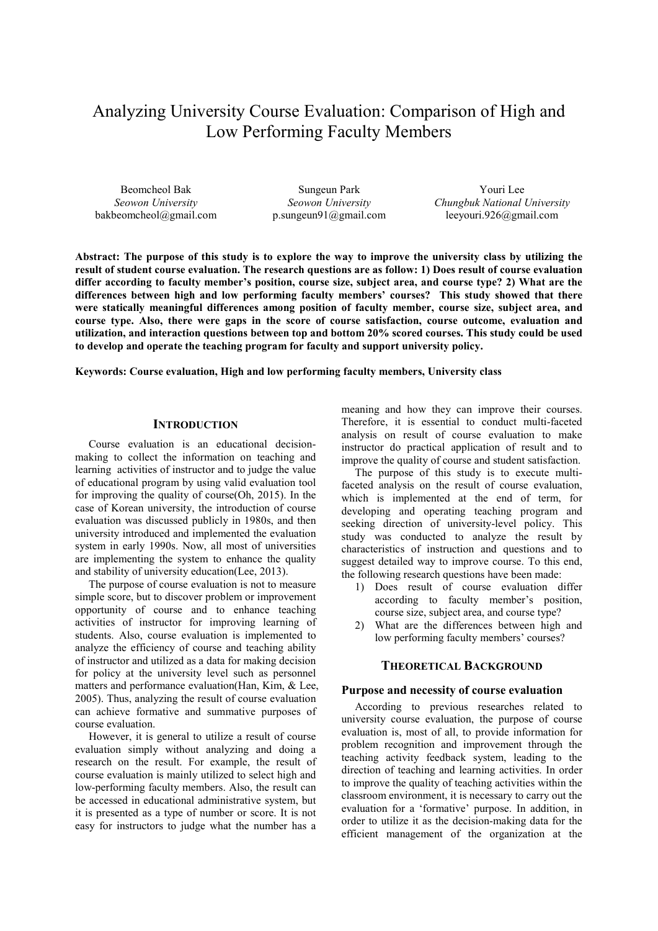# Analyzing University Course Evaluation: Comparison of High and Low Performing Faculty Members

Beomcheol Bak *Seowon University* bakbeomcheol@gmail.com

Sungeun Park *Seowon University* p.sungeun91@gmail.com

Youri Lee *Chungbuk National University* leeyouri.926@gmail.com

**Abstract: The purpose of this study is to explore the way to improve the university class by utilizing the result of student course evaluation. The research questions are as follow: 1) Does result of course evaluation differ according to faculty member's position, course size, subject area, and course type? 2) What are the differences between high and low performing faculty members' courses? This study showed that there were statically meaningful differences among position of faculty member, course size, subject area, and course type. Also, there were gaps in the score of course satisfaction, course outcome, evaluation and utilization, and interaction questions between top and bottom 20% scored courses. This study could be used to develop and operate the teaching program for faculty and support university policy.** 

## **Keywords: Course evaluation, High and low performing faculty members, University class**

## **INTRODUCTION**

Course evaluation is an educational decisionmaking to collect the information on teaching and learning activities of instructor and to judge the value of educational program by using valid evaluation tool for improving the quality of course(Oh, 2015). In the case of Korean university, the introduction of course evaluation was discussed publicly in 1980s, and then university introduced and implemented the evaluation system in early 1990s. Now, all most of universities are implementing the system to enhance the quality and stability of university education(Lee, 2013).

The purpose of course evaluation is not to measure simple score, but to discover problem or improvement opportunity of course and to enhance teaching activities of instructor for improving learning of students. Also, course evaluation is implemented to analyze the efficiency of course and teaching ability of instructor and utilized as a data for making decision for policy at the university level such as personnel matters and performance evaluation(Han, Kim, & Lee, 2005). Thus, analyzing the result of course evaluation can achieve formative and summative purposes of course evaluation.

However, it is general to utilize a result of course evaluation simply without analyzing and doing a research on the result. For example, the result of course evaluation is mainly utilized to select high and low-performing faculty members. Also, the result can be accessed in educational administrative system, but it is presented as a type of number or score. It is not easy for instructors to judge what the number has a

meaning and how they can improve their courses. Therefore, it is essential to conduct multi-faceted analysis on result of course evaluation to make instructor do practical application of result and to improve the quality of course and student satisfaction.

The purpose of this study is to execute multifaceted analysis on the result of course evaluation, which is implemented at the end of term, for developing and operating teaching program and seeking direction of university-level policy. This study was conducted to analyze the result by characteristics of instruction and questions and to suggest detailed way to improve course. To this end, the following research questions have been made:

- 1) Does result of course evaluation differ according to faculty member's position, course size, subject area, and course type?
- 2) What are the differences between high and low performing faculty members' courses?

# **THEORETICAL BACKGROUND**

## **Purpose and necessity of course evaluation**

According to previous researches related to university course evaluation, the purpose of course evaluation is, most of all, to provide information for problem recognition and improvement through the teaching activity feedback system, leading to the direction of teaching and learning activities. In order to improve the quality of teaching activities within the classroom environment, it is necessary to carry out the evaluation for a 'formative' purpose. In addition, in order to utilize it as the decision-making data for the efficient management of the organization at the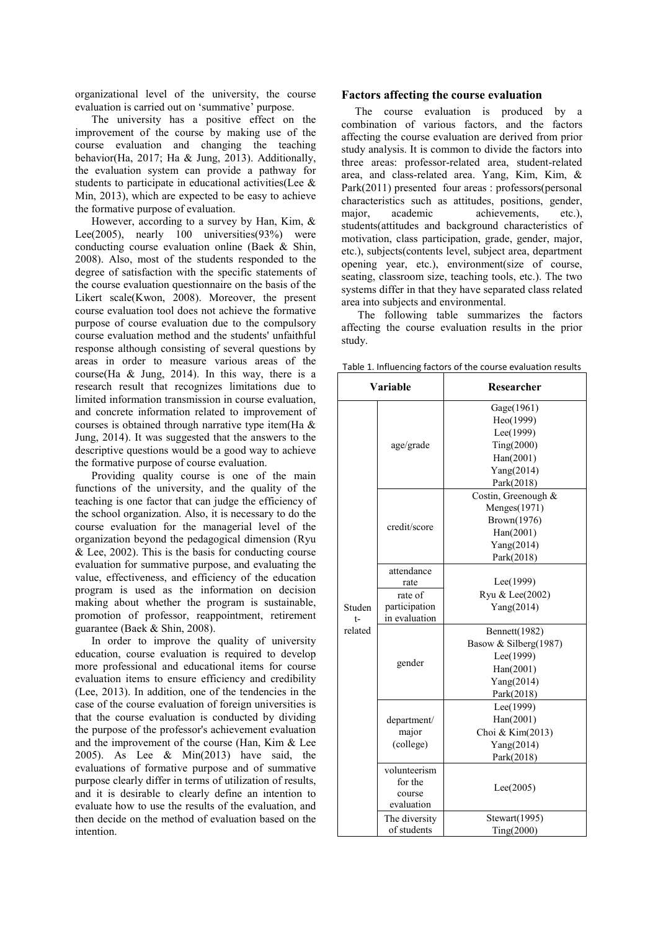organizational level of the university, the course evaluation is carried out on 'summative' purpose.

 The university has a positive effect on the improvement of the course by making use of the course evaluation and changing the teaching behavior(Ha, 2017; Ha & Jung, 2013). Additionally, the evaluation system can provide a pathway for students to participate in educational activities(Lee & Min, 2013), which are expected to be easy to achieve the formative purpose of evaluation.

 However, according to a survey by Han, Kim, & Lee(2005), nearly 100 universities(93%) were conducting course evaluation online (Baek & Shin, 2008). Also, most of the students responded to the degree of satisfaction with the specific statements of the course evaluation questionnaire on the basis of the Likert scale(Kwon, 2008). Moreover, the present course evaluation tool does not achieve the formative purpose of course evaluation due to the compulsory course evaluation method and the students' unfaithful response although consisting of several questions by areas in order to measure various areas of the course(Ha & Jung, 2014). In this way, there is a research result that recognizes limitations due to limited information transmission in course evaluation, and concrete information related to improvement of courses is obtained through narrative type item(Ha & Jung, 2014). It was suggested that the answers to the descriptive questions would be a good way to achieve the formative purpose of course evaluation.

 Providing quality course is one of the main functions of the university, and the quality of the teaching is one factor that can judge the efficiency of the school organization. Also, it is necessary to do the course evaluation for the managerial level of the organization beyond the pedagogical dimension (Ryu  $&$  Lee, 2002). This is the basis for conducting course evaluation for summative purpose, and evaluating the value, effectiveness, and efficiency of the education program is used as the information on decision making about whether the program is sustainable, promotion of professor, reappointment, retirement guarantee (Baek & Shin, 2008).

 In order to improve the quality of university education, course evaluation is required to develop more professional and educational items for course evaluation items to ensure efficiency and credibility (Lee, 2013). In addition, one of the tendencies in the case of the course evaluation of foreign universities is that the course evaluation is conducted by dividing the purpose of the professor's achievement evaluation and the improvement of the course (Han, Kim & Lee 2005). As Lee & Min(2013) have said, the evaluations of formative purpose and of summative purpose clearly differ in terms of utilization of results, and it is desirable to clearly define an intention to evaluate how to use the results of the evaluation, and then decide on the method of evaluation based on the intention.

#### **Factors affecting the course evaluation**

The course evaluation is produced by a combination of various factors, and the factors affecting the course evaluation are derived from prior study analysis. It is common to divide the factors into three areas: professor-related area, student-related area, and class-related area. Yang, Kim, Kim, & Park(2011) presented four areas : professors(personal characteristics such as attitudes, positions, gender, major, academic achievements, etc.), students(attitudes and background characteristics of motivation, class participation, grade, gender, major, etc.), subjects(contents level, subject area, department opening year, etc.), environment(size of course, seating, classroom size, teaching tools, etc.). The two systems differ in that they have separated class related area into subjects and environmental.

 The following table summarizes the factors affecting the course evaluation results in the prior study.

| Variable |               | Researcher                   |  |  |
|----------|---------------|------------------------------|--|--|
|          |               | Gage(1961)                   |  |  |
|          |               | Heo(1999)                    |  |  |
|          |               | Lee(1999)                    |  |  |
|          | age/grade     | Ting(2000)                   |  |  |
|          |               | Han(2001)                    |  |  |
|          |               | Yang(2014)                   |  |  |
|          |               | Park(2018)                   |  |  |
|          |               | Costin, Greenough &          |  |  |
|          |               | Menges(1971)                 |  |  |
|          | credit/score  | Brown(1976)                  |  |  |
|          |               | Han(2001)                    |  |  |
|          |               | Yang(2014)                   |  |  |
|          |               | Park(2018)                   |  |  |
|          | attendance    |                              |  |  |
|          | rate          | Lee(1999)<br>Ryu & Lee(2002) |  |  |
|          | rate of       |                              |  |  |
| Studen   | participation | Yang(2014)                   |  |  |
| $t-$     | in evaluation |                              |  |  |
| related  |               | Bennett(1982)                |  |  |
|          | gender        | Basow & Silberg(1987)        |  |  |
|          |               | Lee(1999)                    |  |  |
|          |               | Han(2001)                    |  |  |
|          |               | Yang(2014)                   |  |  |
|          |               | Park(2018)                   |  |  |
|          |               | Lee(1999)                    |  |  |
|          | department/   | Han(2001)                    |  |  |
|          | major         | Choi & Kim(2013)             |  |  |
|          | (college)     | Yang(2014)                   |  |  |
|          |               | Park(2018)                   |  |  |
|          | volunteerism  |                              |  |  |
|          | for the       | Lee(2005)                    |  |  |
|          | course        |                              |  |  |
|          | evaluation    |                              |  |  |
|          | The diversity | Stewart(1995)                |  |  |
|          | of students   | Ting(2000)                   |  |  |

Table 1. Influencing factors of the course evaluation results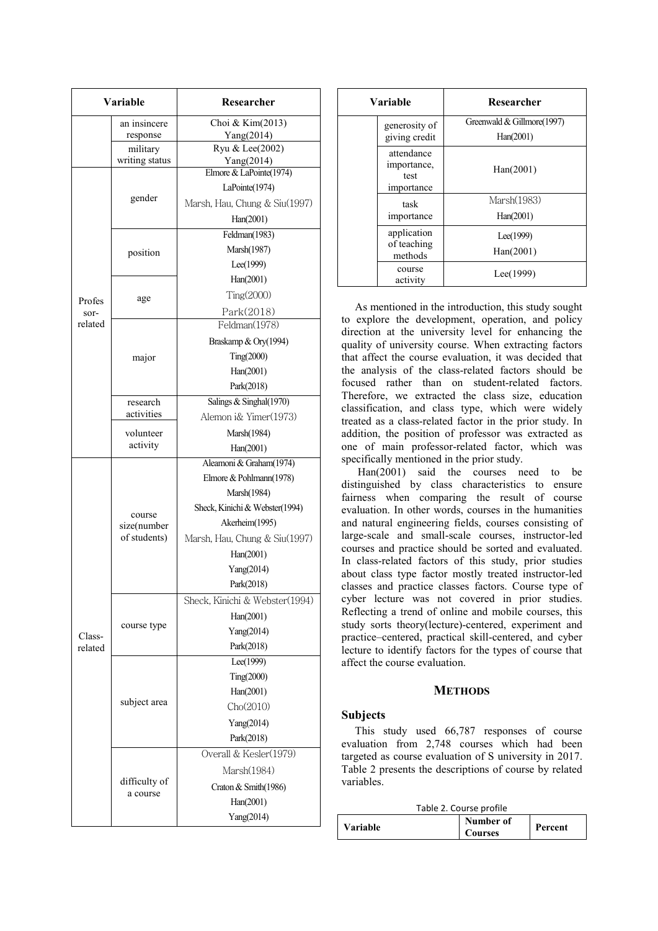| <b>Variable</b> |                | Researcher                     |  |  |
|-----------------|----------------|--------------------------------|--|--|
|                 | an insincere   | Choi & Kim(2013)               |  |  |
|                 | response       | Yang(2014)                     |  |  |
|                 | military       | Ryu & Lee(2002)                |  |  |
|                 | writing status | Yang(2014)                     |  |  |
|                 |                | Elmore & LaPointe(1974)        |  |  |
|                 | gender         | LaPointe(1974)                 |  |  |
|                 |                | Marsh, Hau, Chung & Siu(1997)  |  |  |
|                 |                | Han(2001)                      |  |  |
|                 |                | Feldman $(1983)$               |  |  |
|                 | position       | Marsh(1987)                    |  |  |
|                 |                | Lee(1999)                      |  |  |
|                 |                | Han(2001)                      |  |  |
| Profes          | age            | Ting(2000)                     |  |  |
| sor-            |                | Park(2018)                     |  |  |
| related         |                | Feldman(1978)                  |  |  |
|                 |                | Braskamp & Ory(1994)           |  |  |
|                 | major          | Ting(2000)                     |  |  |
|                 |                | Han(2001)                      |  |  |
|                 |                | Park(2018)                     |  |  |
|                 | research       | Salings & Singhal(1970)        |  |  |
|                 | activities     | Alemon i& Yimer(1973)          |  |  |
|                 | volunteer      | Marsh(1984)                    |  |  |
|                 | activity       | Han(2001)                      |  |  |
|                 |                | Aleamoni & Graham(1974)        |  |  |
|                 |                | Elmore & Pohlmann(1978)        |  |  |
|                 |                | Marsh(1984)                    |  |  |
|                 |                | Sheck, Kinichi & Webster(1994) |  |  |
|                 | course         | Akerheim(1995)                 |  |  |
|                 | size(number    |                                |  |  |
|                 | of students)   | Marsh, Hau, Chung & Siu(1997)  |  |  |
|                 |                | Han(2001)                      |  |  |
|                 |                | Yang(2014)                     |  |  |
|                 |                | Park(2018)                     |  |  |
|                 |                | Sheck, Kinichi & Webster(1994) |  |  |
|                 |                | Han(2001)                      |  |  |
| Class-          | course type    | Yang(2014)                     |  |  |
| related         |                | Park(2018)                     |  |  |
|                 |                | Lee(1999)                      |  |  |
|                 |                | Ting(2000)                     |  |  |
|                 |                | Han(2001)                      |  |  |
|                 | subject area   | Cho(2010)                      |  |  |
|                 |                | Yang(2014)                     |  |  |
|                 |                | Park(2018)                     |  |  |
|                 |                | Overall & Kesler(1979)         |  |  |
|                 |                | Marsh(1984)                    |  |  |
|                 | difficulty of  |                                |  |  |
|                 | a course       | Craton & Smith(1986)           |  |  |
|                 |                | Han(2001)                      |  |  |
|                 |                | Yang(2014)                     |  |  |

| Variable                                        | Researcher                              |
|-------------------------------------------------|-----------------------------------------|
| generosity of<br>giving credit                  | Greenwald & Gillmore(1997)<br>Han(2001) |
| attendance<br>importance,<br>test<br>importance | Han(2001)                               |
| task                                            | Marsh(1983)                             |
| importance                                      | Han(2001)                               |
| application<br>of teaching<br>methods           | Lee(1999)<br>Han(2001)                  |
| course<br>activity                              | Lee(1999)                               |

As mentioned in the introduction, this study sought to explore the development, operation, and policy direction at the university level for enhancing the quality of university course. When extracting factors that affect the course evaluation, it was decided that the analysis of the class-related factors should be focused rather than on student-related factors. Therefore, we extracted the class size, education classification, and class type, which were widely treated as a class-related factor in the prior study. In addition, the position of professor was extracted as one of main professor-related factor, which was specifically mentioned in the prior study.

 Han(2001) said the courses need to be distinguished by class characteristics to ensure fairness when comparing the result of course evaluation. In other words, courses in the humanities and natural engineering fields, courses consisting of large-scale and small-scale courses, instructor-led courses and practice should be sorted and evaluated. In class-related factors of this study, prior studies about class type factor mostly treated instructor-led classes and practice classes factors. Course type of cyber lecture was not covered in prior studies. Reflecting a trend of online and mobile courses, this study sorts theory(lecture)-centered, experiment and practice–centered, practical skill-centered, and cyber lecture to identify factors for the types of course that affect the course evaluation.

## **METHODS**

## **Subjects**

This study used 66,787 responses of course evaluation from 2,748 courses which had been targeted as course evaluation of S university in 2017. Table 2 presents the descriptions of course by related variables.

| Table 2. Course profile |                             |         |  |  |
|-------------------------|-----------------------------|---------|--|--|
| Variable                | Number of<br><b>Courses</b> | Percent |  |  |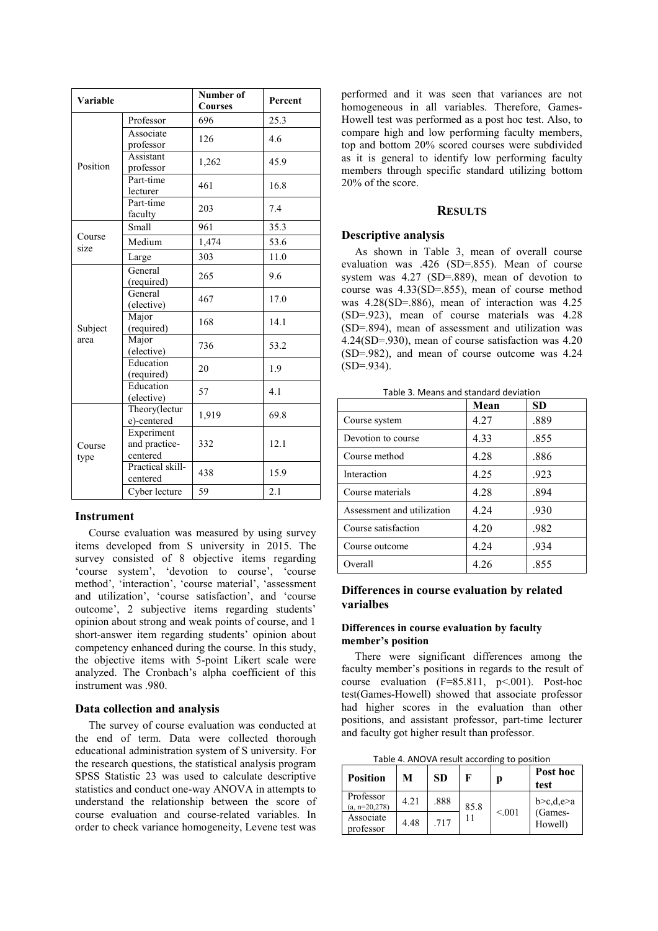| Variable       |                                         | Number of<br><b>Courses</b> | Percent |
|----------------|-----------------------------------------|-----------------------------|---------|
|                | Professor                               | 696                         | 25.3    |
|                | Associate<br>professor                  | 126                         | 4.6     |
| Position       | Assistant<br>professor                  | 1,262                       | 45.9    |
|                | Part-time<br>lecturer                   | 461                         | 16.8    |
|                | Part-time<br>faculty                    | 203                         | 7.4     |
|                | Small                                   | 961                         | 35.3    |
| Course<br>size | Medium                                  | 1,474                       | 53.6    |
|                | Large                                   | 303                         | 11.0    |
|                | General<br>(required)                   | 265                         | 9.6     |
|                | General<br>(elective)                   | 467                         | 17.0    |
| Subject        | Major<br>(required)                     | 168                         | 14.1    |
| area           | Major<br>(elective)                     | 736                         | 53.2    |
|                | Education<br>(required)                 | 20                          | 1.9     |
|                | Education<br>(elective)                 | 57                          | 4.1     |
| Course<br>type | Theory(lectur<br>e)-centered            | 1,919                       | 69.8    |
|                | Experiment<br>and practice-<br>centered | 332                         | 12.1    |
|                | Practical skill-<br>centered            | 438                         | 15.9    |
|                | Cyber lecture                           | 59                          | 2.1     |

## **Instrument**

Course evaluation was measured by using survey items developed from S university in 2015. The survey consisted of 8 objective items regarding 'course system', 'devotion to course', 'course method', 'interaction', 'course material', 'assessment and utilization', 'course satisfaction', and 'course outcome', 2 subjective items regarding students' opinion about strong and weak points of course, and 1 short-answer item regarding students' opinion about competency enhanced during the course. In this study, the objective items with 5-point Likert scale were analyzed. The Cronbach's alpha coefficient of this instrument was .980.

## **Data collection and analysis**

The survey of course evaluation was conducted at the end of term. Data were collected thorough educational administration system of S university. For the research questions, the statistical analysis program SPSS Statistic 23 was used to calculate descriptive statistics and conduct one-way ANOVA in attempts to understand the relationship between the score of course evaluation and course-related variables. In order to check variance homogeneity, Levene test was performed and it was seen that variances are not homogeneous in all variables. Therefore, Games-Howell test was performed as a post hoc test. Also, to compare high and low performing faculty members, top and bottom 20% scored courses were subdivided as it is general to identify low performing faculty members through specific standard utilizing bottom 20% of the score.

#### **RESULTS**

#### **Descriptive analysis**

As shown in Table 3, mean of overall course evaluation was .426 (SD=.855). Mean of course system was 4.27 (SD=.889), mean of devotion to course was 4.33(SD=.855), mean of course method was 4.28(SD=.886), mean of interaction was 4.25 (SD=.923), mean of course materials was 4.28 (SD=.894), mean of assessment and utilization was 4.24(SD=.930), mean of course satisfaction was 4.20 (SD=.982), and mean of course outcome was 4.24  $(SD=0.934)$ .

|                            | Mean | <b>SD</b> |
|----------------------------|------|-----------|
| Course system              | 4.27 | .889      |
| Devotion to course         | 4.33 | .855      |
| Course method              | 4.28 | .886      |
| Interaction                | 4.25 | .923      |
| Course materials           | 4.28 | .894      |
| Assessment and utilization | 4.24 | .930      |
| Course satisfaction        | 4.20 | .982      |
| Course outcome             | 4.24 | .934      |
| Overall                    | 4.26 | .855      |

Table 3. Means and standard deviation

# **Differences in course evaluation by related varialbes**

## **Differences in course evaluation by faculty member's position**

There were significant differences among the faculty member's positions in regards to the result of course evaluation (F=85.811, p<.001). Post-hoc test(Games-Howell) showed that associate professor had higher scores in the evaluation than other positions, and assistant professor, part-time lecturer and faculty got higher result than professor.

Table 4. ANOVA result according to position

| <b>Position</b>               | М    | SD   | F    |        | Post hoc<br>test     |
|-------------------------------|------|------|------|--------|----------------------|
| Professor<br>$(a, n=20, 278)$ | 4.21 | .888 | 85.8 |        | b>c,d,e>a<br>(Games- |
| Associate<br>professor        | 4.48 | .717 | 11   | < 0.01 | Howell)              |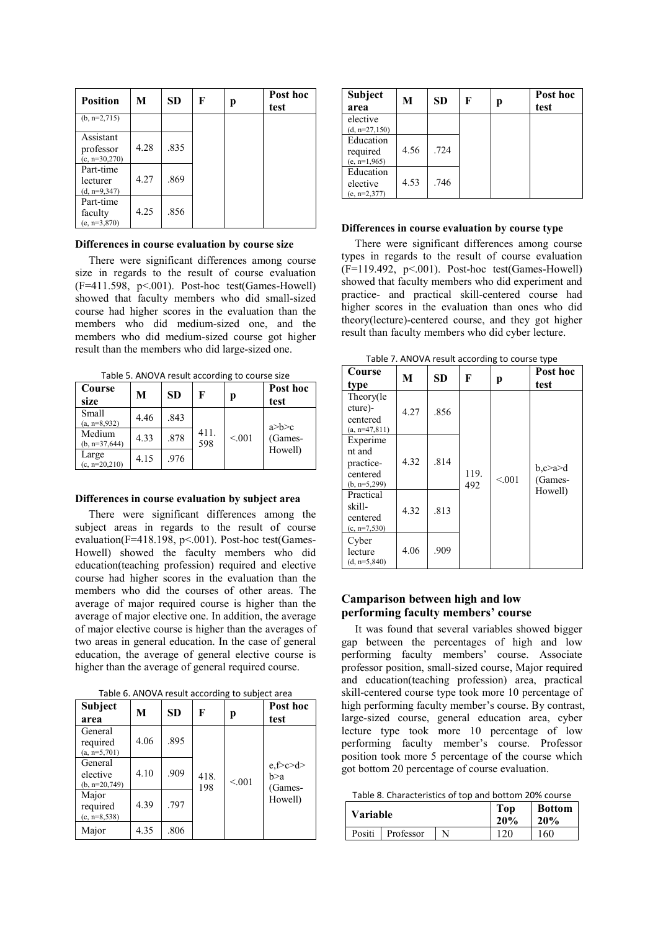| <b>Position</b>                           | М    | <b>SD</b> | F | р | Post hoc<br>test |
|-------------------------------------------|------|-----------|---|---|------------------|
| $(b, n=2,715)$                            |      |           |   |   |                  |
| Assistant<br>professor<br>$(c, n=30,270)$ | 4.28 | .835      |   |   |                  |
| Part-time<br>lecturer<br>$(d, n=9, 347)$  | 4.27 | .869      |   |   |                  |
| Part-time<br>faculty<br>$(e, n=3,870)$    | 4.25 | .856      |   |   |                  |

#### **Differences in course evaluation by course size**

There were significant differences among course size in regards to the result of course evaluation  $(F=411.598, p<.001)$ . Post-hoc test(Games-Howell) showed that faculty members who did small-sized course had higher scores in the evaluation than the members who did medium-sized one, and the members who did medium-sized course got higher result than the members who did large-sized one.

 $Table 5. \text{AMOMA result according to course size}$ 

| Table 5. AINO VATESURE according to course size |      |           |             |        |                  |  |
|-------------------------------------------------|------|-----------|-------------|--------|------------------|--|
| Course<br>size                                  | М    | <b>SD</b> | F           | р      | Post hoc<br>test |  |
| Small<br>$(a, n=8.932)$                         | 4.46 | .843      |             |        | a>b>c            |  |
| Medium<br>$(b, n=37, 644)$                      | 4.33 | .878      | 411.<br>598 | < 0.01 | (Games-          |  |
| Large<br>$(c, n=20,210)$                        | 4.15 | .976      |             |        | Howell)          |  |

#### **Differences in course evaluation by subject area**

There were significant differences among the subject areas in regards to the result of course evaluation(F=418.198, p<.001). Post-hoc test(Games-Howell) showed the faculty members who did education(teaching profession) required and elective course had higher scores in the evaluation than the members who did the courses of other areas. The average of major required course is higher than the average of major elective one. In addition, the average of major elective course is higher than the averages of two areas in general education. In the case of general education, the average of general elective course is higher than the average of general required course.

| Table 6. ANOVA result according to subject area |  |  |  |  |  |
|-------------------------------------------------|--|--|--|--|--|
|-------------------------------------------------|--|--|--|--|--|

| <b>Subject</b><br>area                  | М    | <b>SD</b> | F           | р      | Post hoc<br>test           |
|-----------------------------------------|------|-----------|-------------|--------|----------------------------|
| General<br>required<br>$(a, n=5,701)$   | 4.06 | .895      |             |        |                            |
| General<br>elective<br>$(b, n=20, 749)$ | 4.10 | .909      | 418.<br>198 | < 0.01 | e,f>c>d><br>b>a<br>(Games- |
| Major<br>required<br>$(c, n=8, 538)$    | 4.39 | .797      |             |        | Howell)                    |
| Major                                   | 4.35 | .806      |             |        |                            |

| <b>Subject</b><br>area                   | М    | <b>SD</b> | F | р | Post hoc<br>test |
|------------------------------------------|------|-----------|---|---|------------------|
| elective<br>$(d, n=27, 150)$             |      |           |   |   |                  |
| Education<br>required<br>$(e, n=1, 965)$ | 4.56 | .724      |   |   |                  |
| Education<br>elective<br>$(e, n=2,377)$  | 4.53 | .746      |   |   |                  |

#### **Differences in course evaluation by course type**

There were significant differences among course types in regards to the result of course evaluation  $(F=119.492, p<.001)$ . Post-hoc test(Games-Howell) showed that faculty members who did experiment and practice- and practical skill-centered course had higher scores in the evaluation than ones who did theory(lecture)-centered course, and they got higher result than faculty members who did cyber lecture.

|                                                               |      |           |             | $\frac{1}{2}$ and $\frac{1}{2}$ . The contract of the contract $\frac{1}{2}$ and $\frac{1}{2}$ and $\frac{1}{2}$ and $\frac{1}{2}$ and $\frac{1}{2}$ |                               |
|---------------------------------------------------------------|------|-----------|-------------|------------------------------------------------------------------------------------------------------------------------------------------------------|-------------------------------|
| Course<br>type                                                | M    | <b>SD</b> | F           | р                                                                                                                                                    | Post hoc<br>test              |
| Theory(le<br>cture)-<br>centered<br>$(a, n=47, 811)$          | 4.27 | .856      |             |                                                                                                                                                      |                               |
| Experime<br>nt and<br>practice-<br>centered<br>$(b, n=5,299)$ | 4.32 | .814      | 119.<br>492 | < 0.01                                                                                                                                               | $b, c \ge a \ge d$<br>(Games- |
| Practical<br>skill-<br>centered<br>$(c, n=7, 530)$            | 4.32 | .813      |             |                                                                                                                                                      | Howell)                       |
| Cyber<br>lecture<br>$(d, n=5, 840)$                           | 4.06 | .909      |             |                                                                                                                                                      |                               |

Table 7. ANOVA result according to course type

# **Camparison between high and low performing faculty members' course**

It was found that several variables showed bigger gap between the percentages of high and low performing faculty members' course. Associate professor position, small-sized course, Major required and education(teaching profession) area, practical skill-centered course type took more 10 percentage of high performing faculty member's course. By contrast, large-sized course, general education area, cyber lecture type took more 10 percentage of low performing faculty member's course. Professor position took more 5 percentage of the course which got bottom 20 percentage of course evaluation.

Table 8. Characteristics of top and bottom 20% course

| <b>Variable</b> |           |   | Top<br>20% | <b>Bottom</b><br>20% |
|-----------------|-----------|---|------------|----------------------|
| Positi          | Professor | N | 120        | 160                  |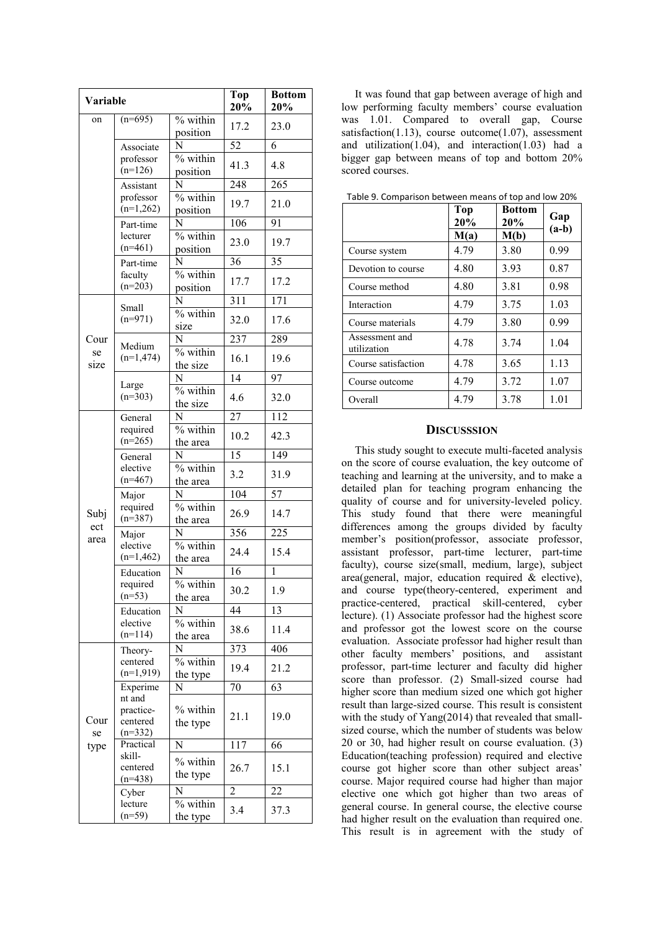|             | Variable                                                                                                 |                        | Top<br>20%      | <b>Bottom</b><br>20% |
|-------------|----------------------------------------------------------------------------------------------------------|------------------------|-----------------|----------------------|
| on          | $(n=695)$                                                                                                | % within<br>position   | 17.2            | 23.0                 |
|             | Associate                                                                                                | N                      | 52              | 6                    |
|             | professor<br>$(n=126)$                                                                                   | $%$ within<br>position | 41.3            | 4.8                  |
|             | Assistant                                                                                                | N                      | 248             | 265                  |
|             | professor<br>$(n=1,262)$                                                                                 | % within<br>position   | 19.7            | 21.0                 |
|             | Part-time                                                                                                | N                      | 106             | 91                   |
|             | lecturer<br>$(n=461)$                                                                                    | % within<br>position   | 23.0            | 19.7                 |
|             | Part-time                                                                                                | N                      | 36              | 35                   |
|             | faculty<br>$(n=203)$                                                                                     | % within<br>position   | 17.7            | 17.2                 |
|             | Small                                                                                                    | N                      | 311             | 171                  |
|             | $(n=971)$                                                                                                | % within<br>size       | 32.0            | 17.6                 |
| Cour        | Medium                                                                                                   | N                      | 237             | 289                  |
| se<br>size  | $(n=1,474)$                                                                                              | $%$ within<br>the size | 16.1            | 19.6                 |
|             | Large                                                                                                    | N                      | $\overline{14}$ | 97                   |
|             | $(n=303)$                                                                                                | % within<br>the size   | 4.6             | 32.0                 |
|             | General<br>required<br>$(n=265)$                                                                         | N                      | 27              | 112                  |
|             |                                                                                                          | % within<br>the area   | 10.2            | 42.3                 |
|             | General<br>elective<br>$(n=467)$                                                                         | N                      | 15              | 149                  |
|             |                                                                                                          | % within<br>the area   | 3.2             | 31.9                 |
|             | Major<br>required<br>$(n=387)$                                                                           | N                      | 104             | 57                   |
| Subj<br>ect |                                                                                                          | % within<br>the area   | 26.9            | 14.7                 |
| area        | Major<br>elective<br>$(n=1,462)$                                                                         | N                      | 356             | 225                  |
|             |                                                                                                          | % within<br>the area   | 24.4            | 15.4                 |
|             | Education<br>required<br>$(n=53)$                                                                        | N                      | 16              | 1                    |
|             |                                                                                                          | $%$ within<br>the area | 30.2            | 1.9                  |
|             | Education<br>elective<br>$(n=114)$                                                                       | N                      | 44              | 13                   |
|             |                                                                                                          | % within<br>the area   | 38.6            | 11.4                 |
|             | Theory-<br>centered<br>$(n=1,919)$                                                                       | N                      | 373             | 406                  |
| Cour<br>se  |                                                                                                          | % within<br>the type   | 19.4            | 21.2                 |
|             | Experime<br>nt and<br>practice-<br>centered<br>$(n=332)$<br>Practical<br>skill-<br>centered<br>$(n=438)$ | N                      | 70              | 63                   |
|             |                                                                                                          | % within<br>the type   | 21.1            | 19.0                 |
| type        |                                                                                                          | N                      | 117             | 66                   |
|             |                                                                                                          | % within<br>the type   | 26.7            | 15.1                 |
|             | Cyber<br>lecture<br>$(n=59)$                                                                             | N                      | 2               | 22                   |
|             |                                                                                                          | % within<br>the type   | 3.4             | 37.3                 |

It was found that gap between average of high and low performing faculty members' course evaluation was 1.01. Compared to overall gap, Course satisfaction(1.13), course outcome(1.07), assessment and utilization(1.04), and interaction(1.03) had a bigger gap between means of top and bottom 20% scored courses.

|                               | <b>Top</b><br>20% | <b>Bottom</b><br>20% | Gap<br>$(a-b)$ |  |
|-------------------------------|-------------------|----------------------|----------------|--|
|                               | M(a)              | M(b)                 |                |  |
| Course system                 | 4.79              | 3.80                 | 0.99           |  |
| Devotion to course            | 4.80              | 3.93                 | 0.87           |  |
| Course method                 | 4.80              | 3.81                 | 0.98           |  |
| Interaction                   | 4.79              | 3.75                 | 1.03           |  |
| Course materials              | 4.79              | 3.80                 | 0.99           |  |
| Assessment and<br>utilization | 4.78              | 3.74                 | 1.04           |  |
| Course satisfaction           | 4.78              | 3.65                 | 1.13           |  |
| Course outcome                | 4.79              | 3.72                 | 1.07           |  |
| Overall                       | 4.79              | 3.78                 | 1.01           |  |

Table 9. Comparison between means of top and low 20%

#### **DISCUSSSION**

This study sought to execute multi-faceted analysis on the score of course evaluation, the key outcome of teaching and learning at the university, and to make a detailed plan for teaching program enhancing the quality of course and for university-leveled policy. This study found that there were meaningful differences among the groups divided by faculty member's position(professor, associate professor, assistant professor, part-time lecturer, part-time faculty), course size(small, medium, large), subject area(general, major, education required & elective), and course type(theory-centered, experiment and practice-centered, practical skill-centered, cyber lecture). (1) Associate professor had the highest score and professor got the lowest score on the course evaluation. Associate professor had higher result than other faculty members' positions, and assistant professor, part-time lecturer and faculty did higher score than professor. (2) Small-sized course had higher score than medium sized one which got higher result than large-sized course. This result is consistent with the study of Yang(2014) that revealed that smallsized course, which the number of students was below 20 or 30, had higher result on course evaluation. (3) Education(teaching profession) required and elective course got higher score than other subject areas' course. Major required course had higher than major elective one which got higher than two areas of general course. In general course, the elective course had higher result on the evaluation than required one. This result is in agreement with the study of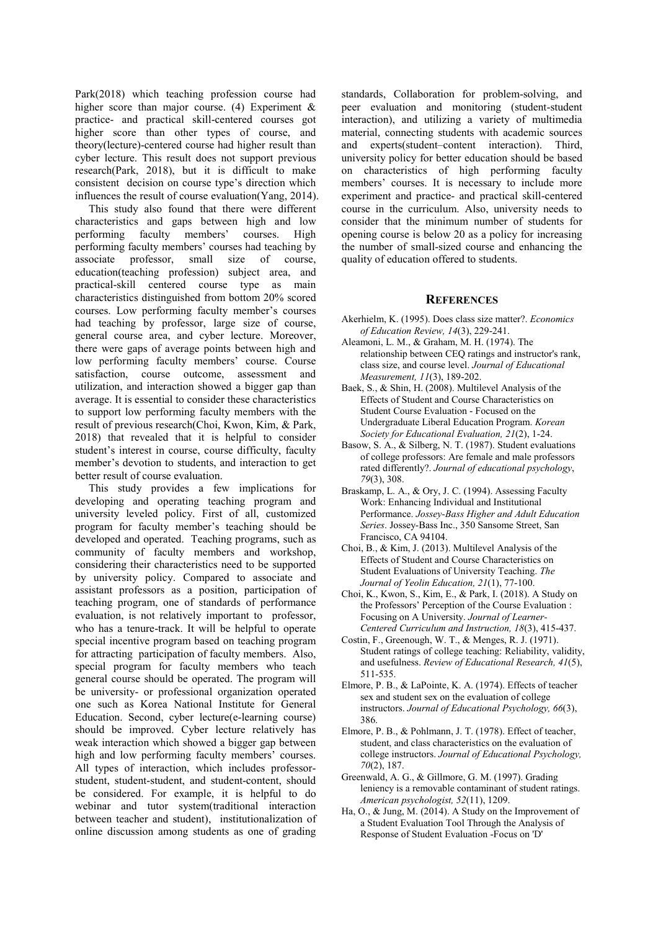Park(2018) which teaching profession course had higher score than major course. (4) Experiment & practice- and practical skill-centered courses got higher score than other types of course, and theory(lecture)-centered course had higher result than cyber lecture. This result does not support previous research(Park, 2018), but it is difficult to make consistent decision on course type's direction which influences the result of course evaluation(Yang, 2014).

This study also found that there were different characteristics and gaps between high and low performing faculty members' courses. High performing faculty members' courses had teaching by associate professor, small size of course, education(teaching profession) subject area, and practical-skill centered course type as main characteristics distinguished from bottom 20% scored courses. Low performing faculty member's courses had teaching by professor, large size of course, general course area, and cyber lecture. Moreover, there were gaps of average points between high and low performing faculty members' course. Course satisfaction, course outcome, assessment and utilization, and interaction showed a bigger gap than average. It is essential to consider these characteristics to support low performing faculty members with the result of previous research(Choi, Kwon, Kim, & Park, 2018) that revealed that it is helpful to consider student's interest in course, course difficulty, faculty member's devotion to students, and interaction to get better result of course evaluation.

This study provides a few implications for developing and operating teaching program and university leveled policy. First of all, customized program for faculty member's teaching should be developed and operated. Teaching programs, such as community of faculty members and workshop, considering their characteristics need to be supported by university policy. Compared to associate and assistant professors as a position, participation of teaching program, one of standards of performance evaluation, is not relatively important to professor, who has a tenure-track. It will be helpful to operate special incentive program based on teaching program for attracting participation of faculty members. Also, special program for faculty members who teach general course should be operated. The program will be university- or professional organization operated one such as Korea National Institute for General Education. Second, cyber lecture(e-learning course) should be improved. Cyber lecture relatively has weak interaction which showed a bigger gap between high and low performing faculty members' courses. All types of interaction, which includes professorstudent, student-student, and student-content, should be considered. For example, it is helpful to do webinar and tutor system(traditional interaction between teacher and student), institutionalization of online discussion among students as one of grading standards, Collaboration for problem-solving, and peer evaluation and monitoring (student-student interaction), and utilizing a variety of multimedia material, connecting students with academic sources and experts(student–content interaction). Third, university policy for better education should be based on characteristics of high performing faculty members' courses. It is necessary to include more experiment and practice- and practical skill-centered course in the curriculum. Also, university needs to consider that the minimum number of students for opening course is below 20 as a policy for increasing the number of small-sized course and enhancing the quality of education offered to students.

#### **REFERENCES**

- Akerhielm, K. (1995). Does class size matter?. *Economics of Education Review, 14*(3), 229-241.
- Aleamoni, L. M., & Graham, M. H. (1974). The relationship between CEQ ratings and instructor's rank, class size, and course level. *Journal of Educational Measurement, 11*(3), 189-202.
- Baek, S., & Shin, H. (2008). Multilevel Analysis of the Effects of Student and Course Characteristics on Student Course Evaluation - Focused on the Undergraduate Liberal Education Program. *Korean Society for Educational Evaluation, 21*(2), 1-24.
- Basow, S. A., & Silberg, N. T. (1987). Student evaluations of college professors: Are female and male professors rated differently?. *Journal of educational psychology*, *79*(3), 308.
- Braskamp, L. A., & Ory, J. C. (1994). Assessing Faculty Work: Enhancing Individual and Institutional Performance. *Jossey-Bass Higher and Adult Education Series*. Jossey-Bass Inc., 350 Sansome Street, San Francisco, CA 94104.
- Choi, B., & Kim, J. (2013). Multilevel Analysis of the Effects of Student and Course Characteristics on Student Evaluations of University Teaching. *The Journal of Yeolin Education, 21*(1), 77-100.
- Choi, K., Kwon, S., Kim, E., & Park, I. (2018). A Study on the Professors' Perception of the Course Evaluation : Focusing on A University. *Journal of Learner-Centered Curriculum and Instruction, 18*(3), 415-437.
- Costin, F., Greenough, W. T., & Menges, R. J. (1971). Student ratings of college teaching: Reliability, validity, and usefulness. *Review of Educational Research, 41*(5), 511-535.
- Elmore, P. B., & LaPointe, K. A. (1974). Effects of teacher sex and student sex on the evaluation of college instructors. *Journal of Educational Psychology, 66*(3), 386.
- Elmore, P. B., & Pohlmann, J. T. (1978). Effect of teacher, student, and class characteristics on the evaluation of college instructors. *Journal of Educational Psychology, 70*(2), 187.
- Greenwald, A. G., & Gillmore, G. M. (1997). Grading leniency is a removable contaminant of student ratings. *American psychologist, 52*(11), 1209.
- Ha, O., & Jung, M. (2014). A Study on the Improvement of a Student Evaluation Tool Through the Analysis of Response of Student Evaluation -Focus on 'D'